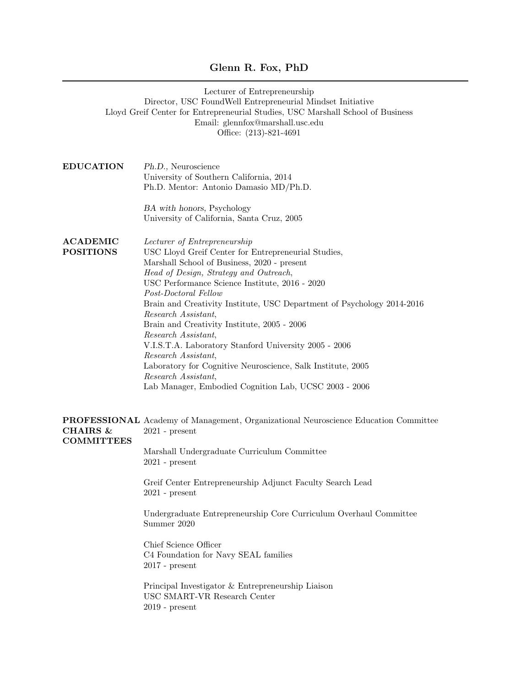## Glenn R. Fox, PhD

|                                          | Lecturer of Entrepreneurship<br>Director, USC FoundWell Entrepreneurial Mindset Initiative<br>Lloyd Greif Center for Entrepreneurial Studies, USC Marshall School of Business<br>Email: glennfox@marshall.usc.edu<br>Office: (213)-821-4691                                                                                                                                                                                                                                                                                                                                                                                                                  |
|------------------------------------------|--------------------------------------------------------------------------------------------------------------------------------------------------------------------------------------------------------------------------------------------------------------------------------------------------------------------------------------------------------------------------------------------------------------------------------------------------------------------------------------------------------------------------------------------------------------------------------------------------------------------------------------------------------------|
| <b>EDUCATION</b>                         | Ph.D., Neuroscience<br>University of Southern California, 2014<br>Ph.D. Mentor: Antonio Damasio MD/Ph.D.                                                                                                                                                                                                                                                                                                                                                                                                                                                                                                                                                     |
|                                          | BA with honors, Psychology<br>University of California, Santa Cruz, 2005                                                                                                                                                                                                                                                                                                                                                                                                                                                                                                                                                                                     |
| <b>ACADEMIC</b><br><b>POSITIONS</b>      | Lecturer of Entrepreneurship<br>USC Lloyd Greif Center for Entrepreneurial Studies,<br>Marshall School of Business, 2020 - present<br>Head of Design, Strategy and Outreach,<br>USC Performance Science Institute, 2016 - 2020<br>Post-Doctoral Fellow<br>Brain and Creativity Institute, USC Department of Psychology 2014-2016<br>Research Assistant,<br>Brain and Creativity Institute, 2005 - 2006<br>Research Assistant,<br>V.I.S.T.A. Laboratory Stanford University 2005 - 2006<br>Research Assistant,<br>Laboratory for Cognitive Neuroscience, Salk Institute, 2005<br>Research Assistant,<br>Lab Manager, Embodied Cognition Lab, UCSC 2003 - 2006 |
| <b>CHAIRS &amp;</b><br><b>COMMITTEES</b> | <b>PROFESSIONAL</b> Academy of Management, Organizational Neuroscience Education Committee<br>$2021$ - present<br>Marshall Undergraduate Curriculum Committee<br>$2021$ - present<br>Greif Center Entrepreneurship Adjunct Faculty Search Lead<br>$2021$ - present<br>Undergraduate Entrepreneurship Core Curriculum Overhaul Committee<br>Summer 2020<br>Chief Science Officer<br>C4 Foundation for Navy SEAL families<br>$2017$ - present<br>Principal Investigator & Entrepreneurship Liaison<br>USC SMART-VR Research Center<br>$2019$ - present                                                                                                         |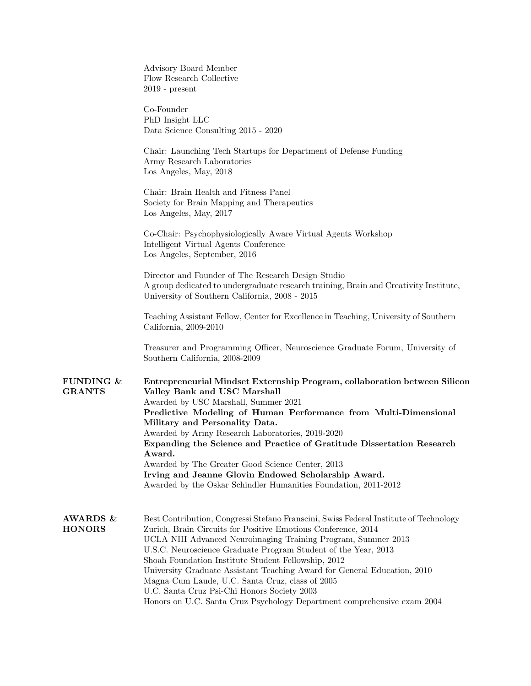|                                      | Advisory Board Member<br>Flow Research Collective<br>$2019$ - present                                                                                                                                                                                                                                                                                                                                                                                                                                                                                                                                    |
|--------------------------------------|----------------------------------------------------------------------------------------------------------------------------------------------------------------------------------------------------------------------------------------------------------------------------------------------------------------------------------------------------------------------------------------------------------------------------------------------------------------------------------------------------------------------------------------------------------------------------------------------------------|
|                                      | Co-Founder<br>PhD Insight LLC<br>Data Science Consulting 2015 - 2020                                                                                                                                                                                                                                                                                                                                                                                                                                                                                                                                     |
|                                      | Chair: Launching Tech Startups for Department of Defense Funding<br>Army Research Laboratories<br>Los Angeles, May, 2018                                                                                                                                                                                                                                                                                                                                                                                                                                                                                 |
|                                      | Chair: Brain Health and Fitness Panel<br>Society for Brain Mapping and Therapeutics<br>Los Angeles, May, 2017                                                                                                                                                                                                                                                                                                                                                                                                                                                                                            |
|                                      | Co-Chair: Psychophysiologically Aware Virtual Agents Workshop<br>Intelligent Virtual Agents Conference<br>Los Angeles, September, 2016                                                                                                                                                                                                                                                                                                                                                                                                                                                                   |
|                                      | Director and Founder of The Research Design Studio<br>A group dedicated to undergraduate research training, Brain and Creativity Institute,<br>University of Southern California, 2008 - 2015                                                                                                                                                                                                                                                                                                                                                                                                            |
|                                      | Teaching Assistant Fellow, Center for Excellence in Teaching, University of Southern<br>California, 2009-2010                                                                                                                                                                                                                                                                                                                                                                                                                                                                                            |
|                                      | Treasurer and Programming Officer, Neuroscience Graduate Forum, University of<br>Southern California, 2008-2009                                                                                                                                                                                                                                                                                                                                                                                                                                                                                          |
| FUNDING $\&$<br><b>GRANTS</b>        | Entrepreneurial Mindset Externship Program, collaboration between Silicon<br>Valley Bank and USC Marshall<br>Awarded by USC Marshall, Summer 2021<br>Predictive Modeling of Human Performance from Multi-Dimensional<br>Military and Personality Data.<br>Awarded by Army Research Laboratories, 2019-2020<br>Expanding the Science and Practice of Gratitude Dissertation Research<br>Award.<br>Awarded by The Greater Good Science Center, 2013<br>Irving and Jeanne Glovin Endowed Scholarship Award.                                                                                                 |
|                                      | Awarded by the Oskar Schindler Humanities Foundation, 2011-2012                                                                                                                                                                                                                                                                                                                                                                                                                                                                                                                                          |
| <b>AWARDS &amp;</b><br><b>HONORS</b> | Best Contribution, Congressi Stefano Franscini, Swiss Federal Institute of Technology<br>Zurich, Brain Circuits for Positive Emotions Conference, 2014<br>UCLA NIH Advanced Neuroimaging Training Program, Summer 2013<br>U.S.C. Neuroscience Graduate Program Student of the Year, 2013<br>Shoah Foundation Institute Student Fellowship, 2012<br>University Graduate Assistant Teaching Award for General Education, 2010<br>Magna Cum Laude, U.C. Santa Cruz, class of 2005<br>U.C. Santa Cruz Psi-Chi Honors Society 2003<br>Honors on U.C. Santa Cruz Psychology Department comprehensive exam 2004 |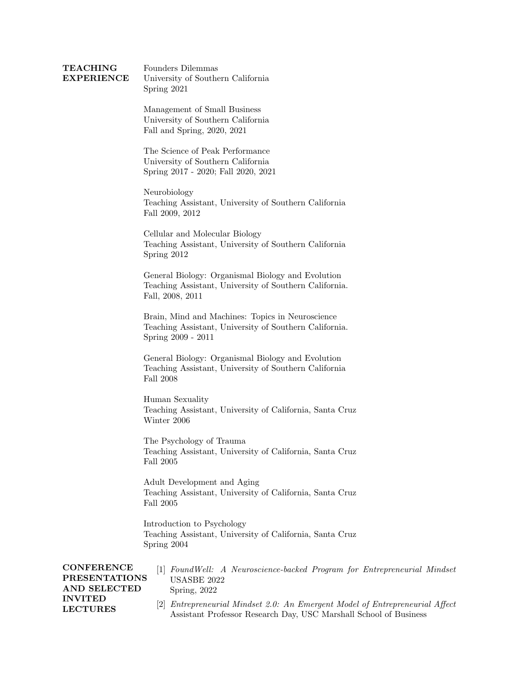## **TEACHING** EXPERIENCE Founders Dilemmas University of Southern California Spring 2021

Management of Small Business University of Southern California Fall and Spring, 2020, 2021

The Science of Peak Performance University of Southern California Spring 2017 - 2020; Fall 2020, 2021

Neurobiology Teaching Assistant, University of Southern California Fall 2009, 2012

Cellular and Molecular Biology Teaching Assistant, University of Southern California Spring 2012

General Biology: Organismal Biology and Evolution Teaching Assistant, University of Southern California. Fall, 2008, 2011

Brain, Mind and Machines: Topics in Neuroscience Teaching Assistant, University of Southern California. Spring 2009 - 2011

General Biology: Organismal Biology and Evolution Teaching Assistant, University of Southern California Fall 2008

Human Sexuality Teaching Assistant, University of California, Santa Cruz Winter 2006

The Psychology of Trauma Teaching Assistant, University of California, Santa Cruz Fall 2005

Adult Development and Aging Teaching Assistant, University of California, Santa Cruz Fall 2005

Introduction to Psychology Teaching Assistant, University of California, Santa Cruz Spring 2004

**CONFERENCE** PRESENTATIONS AND SELECTED INVITED LECTURES [1] FoundWell: A Neuroscience-backed Program for Entrepreneurial Mindset USASBE 2022 Spring, 2022 [2] Entrepreneurial Mindset 2.0: An Emergent Model of Entrepreneurial Affect Assistant Professor Research Day, USC Marshall School of Business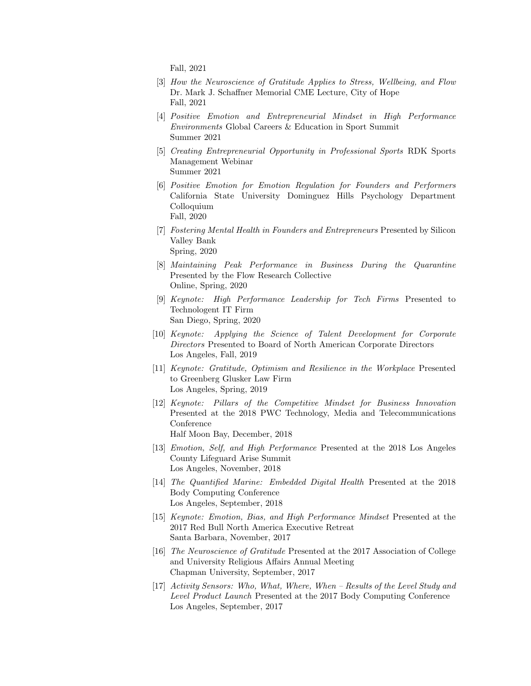Fall, 2021

- [3] How the Neuroscience of Gratitude Applies to Stress, Wellbeing, and Flow Dr. Mark J. Schaffner Memorial CME Lecture, City of Hope Fall, 2021
- [4] Positive Emotion and Entrepreneurial Mindset in High Performance Environments Global Careers & Education in Sport Summit Summer 2021
- [5] Creating Entrepreneurial Opportunity in Professional Sports RDK Sports Management Webinar Summer 2021
- [6] Positive Emotion for Emotion Regulation for Founders and Performers California State University Dominguez Hills Psychology Department Colloquium Fall, 2020
- [7] Fostering Mental Health in Founders and Entrepreneurs Presented by Silicon Valley Bank Spring, 2020
- [8] Maintaining Peak Performance in Business During the Quarantine Presented by the Flow Research Collective Online, Spring, 2020
- [9] Keynote: High Performance Leadership for Tech Firms Presented to Technologent IT Firm San Diego, Spring, 2020
- [10] Keynote: Applying the Science of Talent Development for Corporate Directors Presented to Board of North American Corporate Directors Los Angeles, Fall, 2019
- [11] Keynote: Gratitude, Optimism and Resilience in the Workplace Presented to Greenberg Glusker Law Firm Los Angeles, Spring, 2019
- [12] Keynote: Pillars of the Competitive Mindset for Business Innovation Presented at the 2018 PWC Technology, Media and Telecommunications Conference Half Moon Bay, December, 2018
- [13] Emotion, Self, and High Performance Presented at the 2018 Los Angeles County Lifeguard Arise Summit Los Angeles, November, 2018
- [14] The Quantified Marine: Embedded Digital Health Presented at the 2018 Body Computing Conference Los Angeles, September, 2018
- [15] Keynote: Emotion, Bias, and High Performance Mindset Presented at the 2017 Red Bull North America Executive Retreat Santa Barbara, November, 2017
- [16] The Neuroscience of Gratitude Presented at the 2017 Association of College and University Religious Affairs Annual Meeting Chapman University, September, 2017
- [17] Activity Sensors: Who, What, Where, When Results of the Level Study and Level Product Launch Presented at the 2017 Body Computing Conference Los Angeles, September, 2017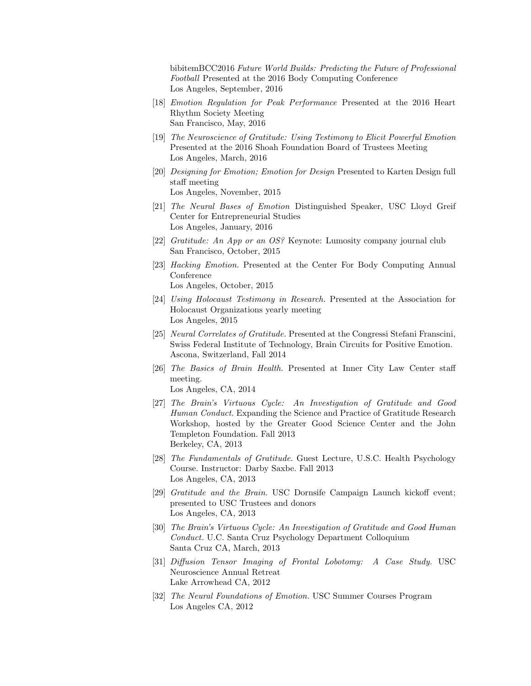bibitemBCC2016 Future World Builds: Predicting the Future of Professional Football Presented at the 2016 Body Computing Conference Los Angeles, September, 2016

- [18] Emotion Regulation for Peak Performance Presented at the 2016 Heart Rhythm Society Meeting San Francisco, May, 2016
- [19] The Neuroscience of Gratitude: Using Testimony to Elicit Powerful Emotion Presented at the 2016 Shoah Foundation Board of Trustees Meeting Los Angeles, March, 2016
- [20] Designing for Emotion; Emotion for Design Presented to Karten Design full staff meeting Los Angeles, November, 2015
- [21] The Neural Bases of Emotion Distinguished Speaker, USC Lloyd Greif Center for Entrepreneurial Studies Los Angeles, January, 2016
- [22] Gratitude: An App or an OS? Keynote: Lumosity company journal club San Francisco, October, 2015
- [23] Hacking Emotion. Presented at the Center For Body Computing Annual Conference

Los Angeles, October, 2015

- [24] Using Holocaust Testimony in Research. Presented at the Association for Holocaust Organizations yearly meeting Los Angeles, 2015
- [25] Neural Correlates of Gratitude. Presented at the Congressi Stefani Franscini, Swiss Federal Institute of Technology, Brain Circuits for Positive Emotion. Ascona, Switzerland, Fall 2014
- [26] The Basics of Brain Health. Presented at Inner City Law Center staff meeting.

Los Angeles, CA, 2014

- [27] The Brain's Virtuous Cycle: An Investigation of Gratitude and Good Human Conduct. Expanding the Science and Practice of Gratitude Research Workshop, hosted by the Greater Good Science Center and the John Templeton Foundation. Fall 2013 Berkeley, CA, 2013
- [28] The Fundamentals of Gratitude. Guest Lecture, U.S.C. Health Psychology Course. Instructor: Darby Saxbe. Fall 2013 Los Angeles, CA, 2013
- [29] Gratitude and the Brain. USC Dornsife Campaign Launch kickoff event; presented to USC Trustees and donors Los Angeles, CA, 2013
- [30] The Brain's Virtuous Cycle: An Investigation of Gratitude and Good Human Conduct. U.C. Santa Cruz Psychology Department Colloquium Santa Cruz CA, March, 2013
- [31] Diffusion Tensor Imaging of Frontal Lobotomy: A Case Study. USC Neuroscience Annual Retreat Lake Arrowhead CA, 2012
- [32] The Neural Foundations of Emotion. USC Summer Courses Program Los Angeles CA, 2012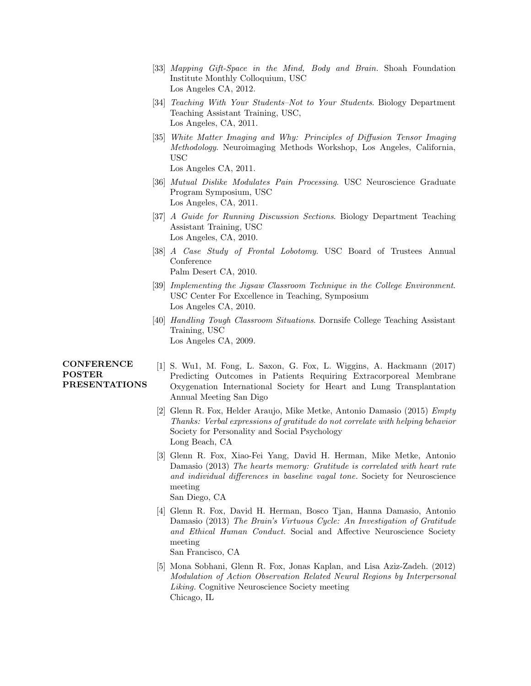- [33] Mapping Gift-Space in the Mind, Body and Brain. Shoah Foundation Institute Monthly Colloquium, USC Los Angeles CA, 2012.
- [34] Teaching With Your Students–Not to Your Students. Biology Department Teaching Assistant Training, USC, Los Angeles, CA, 2011.
- [35] White Matter Imaging and Why: Principles of Diffusion Tensor Imaging Methodology. Neuroimaging Methods Workshop, Los Angeles, California, USC Los Angeles CA, 2011.
- [36] Mutual Dislike Modulates Pain Processing. USC Neuroscience Graduate Program Symposium, USC Los Angeles, CA, 2011.
- [37] A Guide for Running Discussion Sections. Biology Department Teaching Assistant Training, USC Los Angeles, CA, 2010.
- [38] A Case Study of Frontal Lobotomy. USC Board of Trustees Annual Conference Palm Desert CA, 2010.
- [39] Implementing the Jigsaw Classroom Technique in the College Environment. USC Center For Excellence in Teaching, Symposium Los Angeles CA, 2010.
- [40] Handling Tough Classroom Situations. Dornsife College Teaching Assistant Training, USC Los Angeles CA, 2009.

## **CONFERENCE** POSTER PRESENTATIONS

- [1] S. Wu1, M. Fong, L. Saxon, G. Fox, L. Wiggins, A. Hackmann (2017) Predicting Outcomes in Patients Requiring Extracorporeal Membrane Oxygenation International Society for Heart and Lung Transplantation Annual Meeting San Digo
- [2] Glenn R. Fox, Helder Araujo, Mike Metke, Antonio Damasio (2015) Empty Thanks: Verbal expressions of gratitude do not correlate with helping behavior Society for Personality and Social Psychology Long Beach, CA
- [3] Glenn R. Fox, Xiao-Fei Yang, David H. Herman, Mike Metke, Antonio Damasio (2013) The hearts memory: Gratitude is correlated with heart rate and individual differences in baseline vagal tone. Society for Neuroscience meeting San Diego, CA
- [4] Glenn R. Fox, David H. Herman, Bosco Tjan, Hanna Damasio, Antonio Damasio (2013) The Brain's Virtuous Cycle: An Investigation of Gratitude and Ethical Human Conduct. Social and Affective Neuroscience Society meeting San Francisco, CA
- [5] Mona Sobhani, Glenn R. Fox, Jonas Kaplan, and Lisa Aziz-Zadeh. (2012) Modulation of Action Observation Related Neural Regions by Interpersonal Liking. Cognitive Neuroscience Society meeting Chicago, IL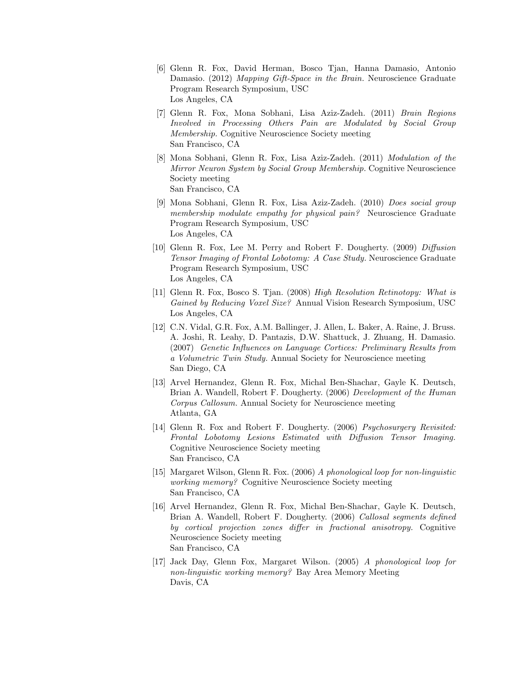- [6] Glenn R. Fox, David Herman, Bosco Tjan, Hanna Damasio, Antonio Damasio. (2012) Mapping Gift-Space in the Brain. Neuroscience Graduate Program Research Symposium, USC Los Angeles, CA
- [7] Glenn R. Fox, Mona Sobhani, Lisa Aziz-Zadeh. (2011) Brain Regions Involved in Processing Others Pain are Modulated by Social Group Membership. Cognitive Neuroscience Society meeting San Francisco, CA
- [8] Mona Sobhani, Glenn R. Fox, Lisa Aziz-Zadeh. (2011) Modulation of the Mirror Neuron System by Social Group Membership. Cognitive Neuroscience Society meeting San Francisco, CA
- [9] Mona Sobhani, Glenn R. Fox, Lisa Aziz-Zadeh. (2010) Does social group membership modulate empathy for physical pain? Neuroscience Graduate Program Research Symposium, USC Los Angeles, CA
- [10] Glenn R. Fox, Lee M. Perry and Robert F. Dougherty. (2009) Diffusion Tensor Imaging of Frontal Lobotomy: A Case Study. Neuroscience Graduate Program Research Symposium, USC Los Angeles, CA
- [11] Glenn R. Fox, Bosco S. Tjan. (2008) High Resolution Retinotopy: What is Gained by Reducing Voxel Size? Annual Vision Research Symposium, USC Los Angeles, CA
- [12] C.N. Vidal, G.R. Fox, A.M. Ballinger, J. Allen, L. Baker, A. Raine, J. Bruss. A. Joshi, R. Leahy, D. Pantazis, D.W. Shattuck, J. Zhuang, H. Damasio. (2007) Genetic Influences on Language Cortices: Preliminary Results from a Volumetric Twin Study. Annual Society for Neuroscience meeting San Diego, CA
- [13] Arvel Hernandez, Glenn R. Fox, Michal Ben-Shachar, Gayle K. Deutsch, Brian A. Wandell, Robert F. Dougherty. (2006) Development of the Human Corpus Callosum. Annual Society for Neuroscience meeting Atlanta, GA
- [14] Glenn R. Fox and Robert F. Dougherty. (2006) Psychosurgery Revisited: Frontal Lobotomy Lesions Estimated with Diffusion Tensor Imaging. Cognitive Neuroscience Society meeting San Francisco, CA
- [15] Margaret Wilson, Glenn R. Fox. (2006) A phonological loop for non-linguistic working memory? Cognitive Neuroscience Society meeting San Francisco, CA
- [16] Arvel Hernandez, Glenn R. Fox, Michal Ben-Shachar, Gayle K. Deutsch, Brian A. Wandell, Robert F. Dougherty. (2006) Callosal segments defined by cortical projection zones differ in fractional anisotropy. Cognitive Neuroscience Society meeting San Francisco, CA
- [17] Jack Day, Glenn Fox, Margaret Wilson. (2005) A phonological loop for non-linguistic working memory? Bay Area Memory Meeting Davis, CA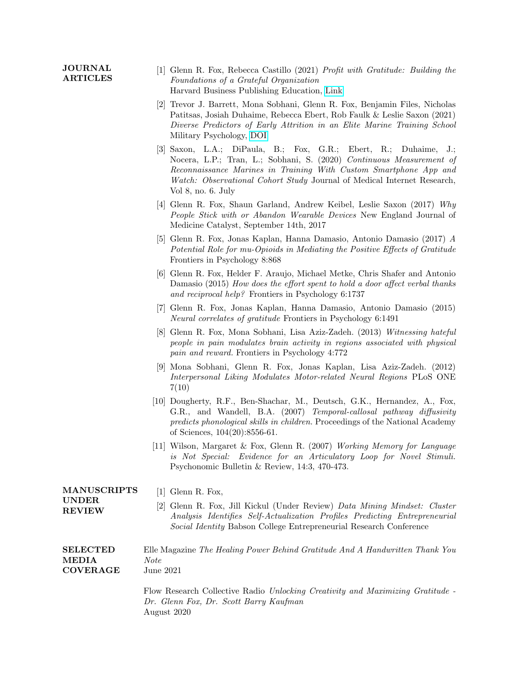## JOURNAL ARTICLES [1] Glenn R. Fox, Rebecca Castillo (2021) Profit with Gratitude: Building the Foundations of a Grateful Organization Harvard Business Publishing Education, [Link](https://hbsp.harvard.edu/product/SCG589-PDF-ENG)

- [2] Trevor J. Barrett, Mona Sobhani, Glenn R. Fox, Benjamin Files, Nicholas Patitsas, Josiah Duhaime, Rebecca Ebert, Rob Faulk & Leslie Saxon (2021) Diverse Predictors of Early Attrition in an Elite Marine Training School Military Psychology, [DOI](https://doi.org/10.1080/08995605.2021.1993721)
- [3] Saxon, L.A.; DiPaula, B.; Fox, G.R.; Ebert, R.; Duhaime, J.; Nocera, L.P.; Tran, L.; Sobhani, S. (2020) Continuous Measurement of Reconnaissance Marines in Training With Custom Smartphone App and Watch: Observational Cohort Study Journal of Medical Internet Research, Vol 8, no. 6. July
- [4] Glenn R. Fox, Shaun Garland, Andrew Keibel, Leslie Saxon (2017) Why People Stick with or Abandon Wearable Devices New England Journal of Medicine Catalyst, September 14th, 2017
- [5] Glenn R. Fox, Jonas Kaplan, Hanna Damasio, Antonio Damasio (2017) A Potential Role for mu-Opioids in Mediating the Positive Effects of Gratitude Frontiers in Psychology 8:868
- [6] Glenn R. Fox, Helder F. Araujo, Michael Metke, Chris Shafer and Antonio Damasio (2015) How does the effort spent to hold a door affect verbal thanks and reciprocal help? Frontiers in Psychology 6:1737
- [7] Glenn R. Fox, Jonas Kaplan, Hanna Damasio, Antonio Damasio (2015) Neural correlates of gratitude Frontiers in Psychology 6:1491
- [8] Glenn R. Fox, Mona Sobhani, Lisa Aziz-Zadeh. (2013) Witnessing hateful people in pain modulates brain activity in regions associated with physical pain and reward. Frontiers in Psychology 4:772
- [9] Mona Sobhani, Glenn R. Fox, Jonas Kaplan, Lisa Aziz-Zadeh. (2012) Interpersonal Liking Modulates Motor-related Neural Regions PLoS ONE 7(10)
- [10] Dougherty, R.F., Ben-Shachar, M., Deutsch, G.K., Hernandez, A., Fox, G.R., and Wandell, B.A. (2007) Temporal-callosal pathway diffusivity predicts phonological skills in children. Proceedings of the National Academy of Sciences, 104(20):8556-61.
- [11] Wilson, Margaret & Fox, Glenn R. (2007) Working Memory for Language is Not Special: Evidence for an Articulatory Loop for Novel Stimuli. Psychonomic Bulletin & Review, 14:3, 470-473.

| <b>MANUSCRIPTS</b><br><b>UNDER</b><br><b>REVIEW</b> | $[1]$ Glenn R. Fox,<br>[2] Glenn R. Fox, Jill Kickul (Under Review) Data Mining Mindset: Cluster<br>Analysis Identifies Self-Actualization Profiles Predicting Entrepreneurial<br><i>Social Identity</i> Babson College Entrepreneurial Research Conference |
|-----------------------------------------------------|-------------------------------------------------------------------------------------------------------------------------------------------------------------------------------------------------------------------------------------------------------------|
| <b>SELECTED</b>                                     | Elle Magazine The Healing Power Behind Gratitude And A Handwritten Thank You                                                                                                                                                                                |
| <b>MEDIA</b>                                        | <i>Note</i>                                                                                                                                                                                                                                                 |
| <b>COVERAGE</b>                                     | June 2021                                                                                                                                                                                                                                                   |

Flow Research Collective Radio Unlocking Creativity and Maximizing Gratitude - Dr. Glenn Fox, Dr. Scott Barry Kaufman August 2020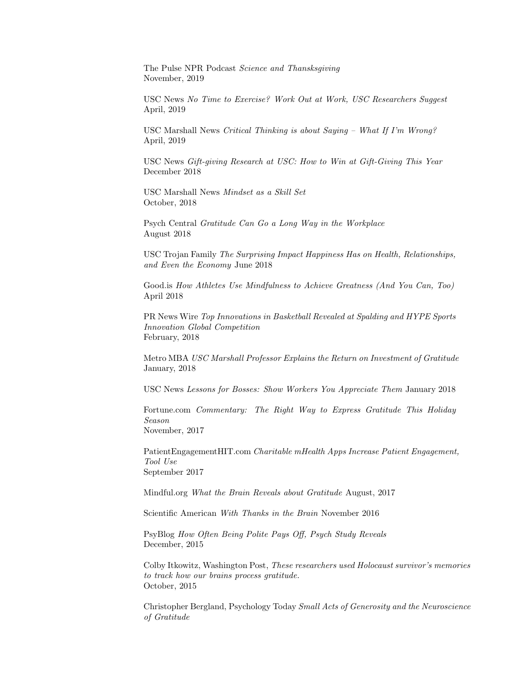The Pulse NPR Podcast Science and Thansksgiving November, 2019

USC News No Time to Exercise? Work Out at Work, USC Researchers Suggest April, 2019

USC Marshall News Critical Thinking is about Saying – What If I'm Wrong? April, 2019

USC News Gift-giving Research at USC: How to Win at Gift-Giving This Year December 2018

USC Marshall News Mindset as a Skill Set October, 2018

Psych Central Gratitude Can Go a Long Way in the Workplace August 2018

USC Trojan Family The Surprising Impact Happiness Has on Health, Relationships, and Even the Economy June 2018

Good.is How Athletes Use Mindfulness to Achieve Greatness (And You Can, Too) April 2018

PR News Wire Top Innovations in Basketball Revealed at Spalding and HYPE Sports Innovation Global Competition February, 2018

Metro MBA USC Marshall Professor Explains the Return on Investment of Gratitude January, 2018

USC News Lessons for Bosses: Show Workers You Appreciate Them January 2018

Fortune.com Commentary: The Right Way to Express Gratitude This Holiday Season November, 2017

PatientEngagementHIT.com Charitable mHealth Apps Increase Patient Engagement, Tool Use September 2017

Mindful.org What the Brain Reveals about Gratitude August, 2017

Scientific American With Thanks in the Brain November 2016

PsyBlog How Often Being Polite Pays Off, Psych Study Reveals December, 2015

Colby Itkowitz, Washington Post, These researchers used Holocaust survivor's memories to track how our brains process gratitude. October, 2015

Christopher Bergland, Psychology Today Small Acts of Generosity and the Neuroscience of Gratitude